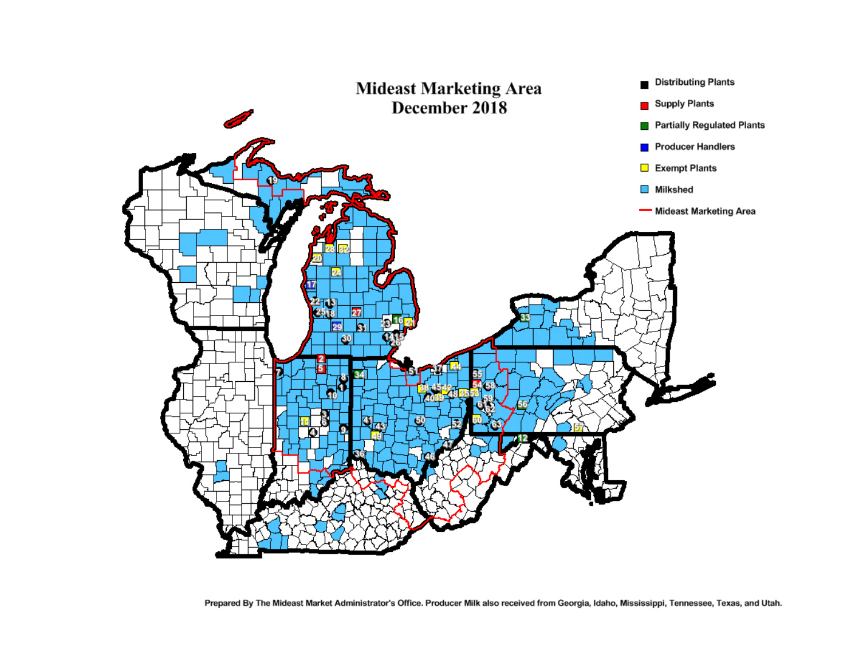

Prepared By The Mideast Market Administrator's Office. Producer Milk also received from Georgia, Idaho, Mississippi, Tennessee, Texas, and Utah.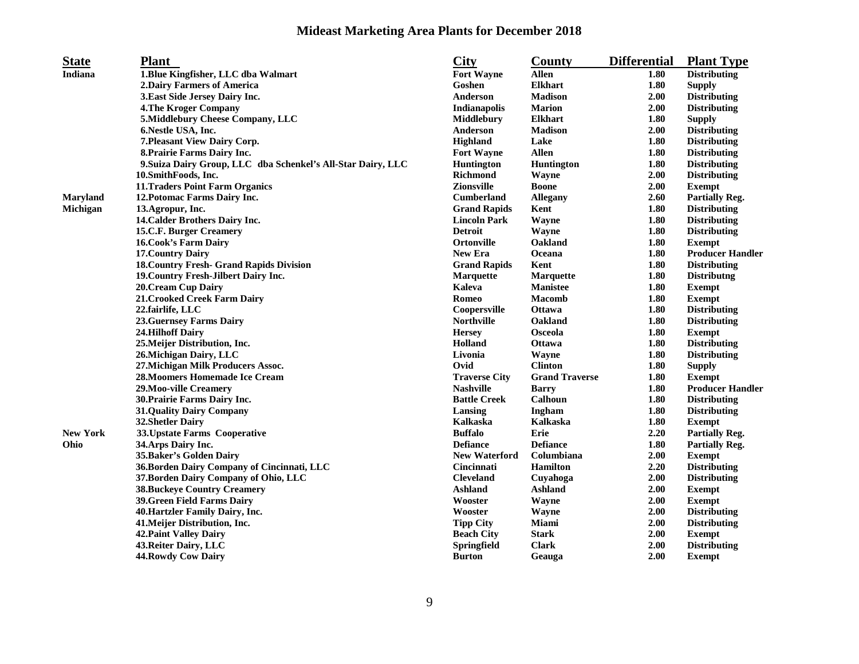## **Mideast Marketing Area Plants for December 2018**

| <b>Indiana</b><br>1. Blue Kingfisher, LLC dba Walmart<br><b>Fort Wayne</b><br><b>Allen</b><br><b>Distributing</b><br>1.80<br><b>2.Dairy Farmers of America</b><br>Goshen<br><b>Elkhart</b><br>1.80<br><b>Supply</b><br>2.00<br>3. East Side Jersey Dairy Inc.<br>Anderson<br><b>Madison</b><br><b>Distributing</b><br>2.00<br><b>4. The Kroger Company</b><br><b>Indianapolis</b><br><b>Marion</b><br><b>Distributing</b><br>5.Middlebury Cheese Company, LLC<br>1.80<br>Middlebury<br><b>Elkhart</b><br><b>Supply</b><br>6. Nestle USA, Inc.<br>Anderson<br><b>Madison</b><br>2.00<br><b>Distributing</b><br>Highland<br>7. Pleasant View Dairy Corp.<br>Lake<br>1.80<br><b>Distributing</b><br><b>Fort Wayne</b><br>1.80<br>8. Prairie Farms Dairy Inc.<br><b>Allen</b><br><b>Distributing</b><br>1.80<br>9. Suiza Dairy Group, LLC dba Schenkel's All-Star Dairy, LLC<br><b>Huntington</b><br>Huntington<br><b>Distributing</b><br>2.00<br>10.SmithFoods, Inc.<br><b>Richmond</b><br><b>Distributing</b><br>Wayne<br>11. Traders Point Farm Organics<br><b>Zionsville</b><br>2.00<br><b>Boone</b><br><b>Exempt</b><br>2.60<br>Maryland<br>12. Potomac Farms Dairy Inc.<br><b>Cumberland</b><br>Allegany<br><b>Partially Reg.</b><br>Michigan<br>Kent<br>1.80<br><b>Distributing</b><br>13. Agropur, Inc.<br><b>Grand Rapids</b><br>14. Calder Brothers Dairy Inc.<br><b>Lincoln Park</b><br>Wayne<br>1.80<br><b>Distributing</b><br>1.80<br>15.C.F. Burger Creamery<br><b>Detroit</b><br>Wayne<br><b>Distributing</b><br><b>16. Cook's Farm Dairy</b><br><b>Ortonville</b><br>Oakland<br>1.80<br><b>Exempt</b><br>1.80<br><b>Producer Handler</b><br>17. Country Dairy<br><b>New Era</b><br>Oceana<br>1.80<br><b>18. Country Fresh- Grand Rapids Division</b><br><b>Grand Rapids</b><br>Kent<br><b>Distributing</b><br>19. Country Fresh-Jilbert Dairy Inc.<br><b>Marquette</b><br><b>Marquette</b><br>1.80<br><b>Distributng</b><br>1.80<br><b>20. Cream Cup Dairy</b><br>Kaleva<br>Manistee<br><b>Exempt</b><br>21. Crooked Creek Farm Dairy<br>Romeo<br><b>Macomb</b><br>1.80<br><b>Exempt</b><br>1.80<br>22.fairlife, LLC<br>Coopersville<br><b>Ottawa</b><br><b>Distributing</b><br><b>Northville</b><br>Oakland<br>1.80<br><b>23. Guernsey Farms Dairy</b><br><b>Distributing</b><br><b>24.Hilhoff Dairy</b><br><b>Osceola</b><br>1.80<br><b>Hersey</b><br><b>Exempt</b><br>Holland<br>1.80<br>25. Meijer Distribution, Inc.<br><b>Ottawa</b><br><b>Distributing</b><br>26. Michigan Dairy, LLC<br>Livonia<br>Wayne<br>1.80<br><b>Distributing</b><br>Ovid<br><b>Clinton</b><br>1.80<br>27. Michigan Milk Producers Assoc.<br><b>Supply</b> |
|------------------------------------------------------------------------------------------------------------------------------------------------------------------------------------------------------------------------------------------------------------------------------------------------------------------------------------------------------------------------------------------------------------------------------------------------------------------------------------------------------------------------------------------------------------------------------------------------------------------------------------------------------------------------------------------------------------------------------------------------------------------------------------------------------------------------------------------------------------------------------------------------------------------------------------------------------------------------------------------------------------------------------------------------------------------------------------------------------------------------------------------------------------------------------------------------------------------------------------------------------------------------------------------------------------------------------------------------------------------------------------------------------------------------------------------------------------------------------------------------------------------------------------------------------------------------------------------------------------------------------------------------------------------------------------------------------------------------------------------------------------------------------------------------------------------------------------------------------------------------------------------------------------------------------------------------------------------------------------------------------------------------------------------------------------------------------------------------------------------------------------------------------------------------------------------------------------------------------------------------------------------------------------------------------------------------------------------------------------------------------------------------------------------------------------------------------------------------------------------------------------------------------------------------------------------------------------------------------------------------------------------------------|
|                                                                                                                                                                                                                                                                                                                                                                                                                                                                                                                                                                                                                                                                                                                                                                                                                                                                                                                                                                                                                                                                                                                                                                                                                                                                                                                                                                                                                                                                                                                                                                                                                                                                                                                                                                                                                                                                                                                                                                                                                                                                                                                                                                                                                                                                                                                                                                                                                                                                                                                                                                                                                                                      |
|                                                                                                                                                                                                                                                                                                                                                                                                                                                                                                                                                                                                                                                                                                                                                                                                                                                                                                                                                                                                                                                                                                                                                                                                                                                                                                                                                                                                                                                                                                                                                                                                                                                                                                                                                                                                                                                                                                                                                                                                                                                                                                                                                                                                                                                                                                                                                                                                                                                                                                                                                                                                                                                      |
|                                                                                                                                                                                                                                                                                                                                                                                                                                                                                                                                                                                                                                                                                                                                                                                                                                                                                                                                                                                                                                                                                                                                                                                                                                                                                                                                                                                                                                                                                                                                                                                                                                                                                                                                                                                                                                                                                                                                                                                                                                                                                                                                                                                                                                                                                                                                                                                                                                                                                                                                                                                                                                                      |
|                                                                                                                                                                                                                                                                                                                                                                                                                                                                                                                                                                                                                                                                                                                                                                                                                                                                                                                                                                                                                                                                                                                                                                                                                                                                                                                                                                                                                                                                                                                                                                                                                                                                                                                                                                                                                                                                                                                                                                                                                                                                                                                                                                                                                                                                                                                                                                                                                                                                                                                                                                                                                                                      |
|                                                                                                                                                                                                                                                                                                                                                                                                                                                                                                                                                                                                                                                                                                                                                                                                                                                                                                                                                                                                                                                                                                                                                                                                                                                                                                                                                                                                                                                                                                                                                                                                                                                                                                                                                                                                                                                                                                                                                                                                                                                                                                                                                                                                                                                                                                                                                                                                                                                                                                                                                                                                                                                      |
|                                                                                                                                                                                                                                                                                                                                                                                                                                                                                                                                                                                                                                                                                                                                                                                                                                                                                                                                                                                                                                                                                                                                                                                                                                                                                                                                                                                                                                                                                                                                                                                                                                                                                                                                                                                                                                                                                                                                                                                                                                                                                                                                                                                                                                                                                                                                                                                                                                                                                                                                                                                                                                                      |
|                                                                                                                                                                                                                                                                                                                                                                                                                                                                                                                                                                                                                                                                                                                                                                                                                                                                                                                                                                                                                                                                                                                                                                                                                                                                                                                                                                                                                                                                                                                                                                                                                                                                                                                                                                                                                                                                                                                                                                                                                                                                                                                                                                                                                                                                                                                                                                                                                                                                                                                                                                                                                                                      |
|                                                                                                                                                                                                                                                                                                                                                                                                                                                                                                                                                                                                                                                                                                                                                                                                                                                                                                                                                                                                                                                                                                                                                                                                                                                                                                                                                                                                                                                                                                                                                                                                                                                                                                                                                                                                                                                                                                                                                                                                                                                                                                                                                                                                                                                                                                                                                                                                                                                                                                                                                                                                                                                      |
|                                                                                                                                                                                                                                                                                                                                                                                                                                                                                                                                                                                                                                                                                                                                                                                                                                                                                                                                                                                                                                                                                                                                                                                                                                                                                                                                                                                                                                                                                                                                                                                                                                                                                                                                                                                                                                                                                                                                                                                                                                                                                                                                                                                                                                                                                                                                                                                                                                                                                                                                                                                                                                                      |
|                                                                                                                                                                                                                                                                                                                                                                                                                                                                                                                                                                                                                                                                                                                                                                                                                                                                                                                                                                                                                                                                                                                                                                                                                                                                                                                                                                                                                                                                                                                                                                                                                                                                                                                                                                                                                                                                                                                                                                                                                                                                                                                                                                                                                                                                                                                                                                                                                                                                                                                                                                                                                                                      |
|                                                                                                                                                                                                                                                                                                                                                                                                                                                                                                                                                                                                                                                                                                                                                                                                                                                                                                                                                                                                                                                                                                                                                                                                                                                                                                                                                                                                                                                                                                                                                                                                                                                                                                                                                                                                                                                                                                                                                                                                                                                                                                                                                                                                                                                                                                                                                                                                                                                                                                                                                                                                                                                      |
|                                                                                                                                                                                                                                                                                                                                                                                                                                                                                                                                                                                                                                                                                                                                                                                                                                                                                                                                                                                                                                                                                                                                                                                                                                                                                                                                                                                                                                                                                                                                                                                                                                                                                                                                                                                                                                                                                                                                                                                                                                                                                                                                                                                                                                                                                                                                                                                                                                                                                                                                                                                                                                                      |
|                                                                                                                                                                                                                                                                                                                                                                                                                                                                                                                                                                                                                                                                                                                                                                                                                                                                                                                                                                                                                                                                                                                                                                                                                                                                                                                                                                                                                                                                                                                                                                                                                                                                                                                                                                                                                                                                                                                                                                                                                                                                                                                                                                                                                                                                                                                                                                                                                                                                                                                                                                                                                                                      |
|                                                                                                                                                                                                                                                                                                                                                                                                                                                                                                                                                                                                                                                                                                                                                                                                                                                                                                                                                                                                                                                                                                                                                                                                                                                                                                                                                                                                                                                                                                                                                                                                                                                                                                                                                                                                                                                                                                                                                                                                                                                                                                                                                                                                                                                                                                                                                                                                                                                                                                                                                                                                                                                      |
|                                                                                                                                                                                                                                                                                                                                                                                                                                                                                                                                                                                                                                                                                                                                                                                                                                                                                                                                                                                                                                                                                                                                                                                                                                                                                                                                                                                                                                                                                                                                                                                                                                                                                                                                                                                                                                                                                                                                                                                                                                                                                                                                                                                                                                                                                                                                                                                                                                                                                                                                                                                                                                                      |
|                                                                                                                                                                                                                                                                                                                                                                                                                                                                                                                                                                                                                                                                                                                                                                                                                                                                                                                                                                                                                                                                                                                                                                                                                                                                                                                                                                                                                                                                                                                                                                                                                                                                                                                                                                                                                                                                                                                                                                                                                                                                                                                                                                                                                                                                                                                                                                                                                                                                                                                                                                                                                                                      |
|                                                                                                                                                                                                                                                                                                                                                                                                                                                                                                                                                                                                                                                                                                                                                                                                                                                                                                                                                                                                                                                                                                                                                                                                                                                                                                                                                                                                                                                                                                                                                                                                                                                                                                                                                                                                                                                                                                                                                                                                                                                                                                                                                                                                                                                                                                                                                                                                                                                                                                                                                                                                                                                      |
|                                                                                                                                                                                                                                                                                                                                                                                                                                                                                                                                                                                                                                                                                                                                                                                                                                                                                                                                                                                                                                                                                                                                                                                                                                                                                                                                                                                                                                                                                                                                                                                                                                                                                                                                                                                                                                                                                                                                                                                                                                                                                                                                                                                                                                                                                                                                                                                                                                                                                                                                                                                                                                                      |
|                                                                                                                                                                                                                                                                                                                                                                                                                                                                                                                                                                                                                                                                                                                                                                                                                                                                                                                                                                                                                                                                                                                                                                                                                                                                                                                                                                                                                                                                                                                                                                                                                                                                                                                                                                                                                                                                                                                                                                                                                                                                                                                                                                                                                                                                                                                                                                                                                                                                                                                                                                                                                                                      |
|                                                                                                                                                                                                                                                                                                                                                                                                                                                                                                                                                                                                                                                                                                                                                                                                                                                                                                                                                                                                                                                                                                                                                                                                                                                                                                                                                                                                                                                                                                                                                                                                                                                                                                                                                                                                                                                                                                                                                                                                                                                                                                                                                                                                                                                                                                                                                                                                                                                                                                                                                                                                                                                      |
|                                                                                                                                                                                                                                                                                                                                                                                                                                                                                                                                                                                                                                                                                                                                                                                                                                                                                                                                                                                                                                                                                                                                                                                                                                                                                                                                                                                                                                                                                                                                                                                                                                                                                                                                                                                                                                                                                                                                                                                                                                                                                                                                                                                                                                                                                                                                                                                                                                                                                                                                                                                                                                                      |
|                                                                                                                                                                                                                                                                                                                                                                                                                                                                                                                                                                                                                                                                                                                                                                                                                                                                                                                                                                                                                                                                                                                                                                                                                                                                                                                                                                                                                                                                                                                                                                                                                                                                                                                                                                                                                                                                                                                                                                                                                                                                                                                                                                                                                                                                                                                                                                                                                                                                                                                                                                                                                                                      |
|                                                                                                                                                                                                                                                                                                                                                                                                                                                                                                                                                                                                                                                                                                                                                                                                                                                                                                                                                                                                                                                                                                                                                                                                                                                                                                                                                                                                                                                                                                                                                                                                                                                                                                                                                                                                                                                                                                                                                                                                                                                                                                                                                                                                                                                                                                                                                                                                                                                                                                                                                                                                                                                      |
|                                                                                                                                                                                                                                                                                                                                                                                                                                                                                                                                                                                                                                                                                                                                                                                                                                                                                                                                                                                                                                                                                                                                                                                                                                                                                                                                                                                                                                                                                                                                                                                                                                                                                                                                                                                                                                                                                                                                                                                                                                                                                                                                                                                                                                                                                                                                                                                                                                                                                                                                                                                                                                                      |
|                                                                                                                                                                                                                                                                                                                                                                                                                                                                                                                                                                                                                                                                                                                                                                                                                                                                                                                                                                                                                                                                                                                                                                                                                                                                                                                                                                                                                                                                                                                                                                                                                                                                                                                                                                                                                                                                                                                                                                                                                                                                                                                                                                                                                                                                                                                                                                                                                                                                                                                                                                                                                                                      |
|                                                                                                                                                                                                                                                                                                                                                                                                                                                                                                                                                                                                                                                                                                                                                                                                                                                                                                                                                                                                                                                                                                                                                                                                                                                                                                                                                                                                                                                                                                                                                                                                                                                                                                                                                                                                                                                                                                                                                                                                                                                                                                                                                                                                                                                                                                                                                                                                                                                                                                                                                                                                                                                      |
|                                                                                                                                                                                                                                                                                                                                                                                                                                                                                                                                                                                                                                                                                                                                                                                                                                                                                                                                                                                                                                                                                                                                                                                                                                                                                                                                                                                                                                                                                                                                                                                                                                                                                                                                                                                                                                                                                                                                                                                                                                                                                                                                                                                                                                                                                                                                                                                                                                                                                                                                                                                                                                                      |
| <b>28. Moomers Homemade Ice Cream</b><br><b>Traverse City</b><br><b>Grand Traverse</b><br>1.80<br><b>Exempt</b>                                                                                                                                                                                                                                                                                                                                                                                                                                                                                                                                                                                                                                                                                                                                                                                                                                                                                                                                                                                                                                                                                                                                                                                                                                                                                                                                                                                                                                                                                                                                                                                                                                                                                                                                                                                                                                                                                                                                                                                                                                                                                                                                                                                                                                                                                                                                                                                                                                                                                                                                      |
| 1.80<br>29. Moo-ville Creamery<br><b>Nashville</b><br><b>Producer Handler</b><br><b>Barry</b>                                                                                                                                                                                                                                                                                                                                                                                                                                                                                                                                                                                                                                                                                                                                                                                                                                                                                                                                                                                                                                                                                                                                                                                                                                                                                                                                                                                                                                                                                                                                                                                                                                                                                                                                                                                                                                                                                                                                                                                                                                                                                                                                                                                                                                                                                                                                                                                                                                                                                                                                                        |
| Calhoun<br>1.80<br>30. Prairie Farms Dairy Inc.<br><b>Battle Creek</b><br><b>Distributing</b>                                                                                                                                                                                                                                                                                                                                                                                                                                                                                                                                                                                                                                                                                                                                                                                                                                                                                                                                                                                                                                                                                                                                                                                                                                                                                                                                                                                                                                                                                                                                                                                                                                                                                                                                                                                                                                                                                                                                                                                                                                                                                                                                                                                                                                                                                                                                                                                                                                                                                                                                                        |
| Lansing<br>Ingham<br>1.80<br><b>Distributing</b><br><b>31.Quality Dairy Company</b>                                                                                                                                                                                                                                                                                                                                                                                                                                                                                                                                                                                                                                                                                                                                                                                                                                                                                                                                                                                                                                                                                                                                                                                                                                                                                                                                                                                                                                                                                                                                                                                                                                                                                                                                                                                                                                                                                                                                                                                                                                                                                                                                                                                                                                                                                                                                                                                                                                                                                                                                                                  |
| <b>Kalkaska</b><br>1.80<br><b>32. Shetler Dairy</b><br>Kalkaska<br><b>Exempt</b>                                                                                                                                                                                                                                                                                                                                                                                                                                                                                                                                                                                                                                                                                                                                                                                                                                                                                                                                                                                                                                                                                                                                                                                                                                                                                                                                                                                                                                                                                                                                                                                                                                                                                                                                                                                                                                                                                                                                                                                                                                                                                                                                                                                                                                                                                                                                                                                                                                                                                                                                                                     |
| <b>New York</b><br>33. Upstate Farms Cooperative<br><b>Buffalo</b><br>2.20<br>Erie<br><b>Partially Reg.</b>                                                                                                                                                                                                                                                                                                                                                                                                                                                                                                                                                                                                                                                                                                                                                                                                                                                                                                                                                                                                                                                                                                                                                                                                                                                                                                                                                                                                                                                                                                                                                                                                                                                                                                                                                                                                                                                                                                                                                                                                                                                                                                                                                                                                                                                                                                                                                                                                                                                                                                                                          |
| 1.80<br>Ohio<br><b>Defiance</b><br><b>Defiance</b><br>34. Arps Dairy Inc.<br><b>Partially Reg.</b>                                                                                                                                                                                                                                                                                                                                                                                                                                                                                                                                                                                                                                                                                                                                                                                                                                                                                                                                                                                                                                                                                                                                                                                                                                                                                                                                                                                                                                                                                                                                                                                                                                                                                                                                                                                                                                                                                                                                                                                                                                                                                                                                                                                                                                                                                                                                                                                                                                                                                                                                                   |
| 2.00<br><b>35.Baker's Golden Dairy</b><br><b>New Waterford</b><br>Columbiana<br><b>Exempt</b>                                                                                                                                                                                                                                                                                                                                                                                                                                                                                                                                                                                                                                                                                                                                                                                                                                                                                                                                                                                                                                                                                                                                                                                                                                                                                                                                                                                                                                                                                                                                                                                                                                                                                                                                                                                                                                                                                                                                                                                                                                                                                                                                                                                                                                                                                                                                                                                                                                                                                                                                                        |
| 2.20<br>36. Borden Dairy Company of Cincinnati, LLC<br><b>Hamilton</b><br><b>Distributing</b><br>Cincinnati                                                                                                                                                                                                                                                                                                                                                                                                                                                                                                                                                                                                                                                                                                                                                                                                                                                                                                                                                                                                                                                                                                                                                                                                                                                                                                                                                                                                                                                                                                                                                                                                                                                                                                                                                                                                                                                                                                                                                                                                                                                                                                                                                                                                                                                                                                                                                                                                                                                                                                                                          |
| 37. Borden Dairy Company of Ohio, LLC<br>2.00<br><b>Cleveland</b><br>Cuyahoga<br><b>Distributing</b>                                                                                                                                                                                                                                                                                                                                                                                                                                                                                                                                                                                                                                                                                                                                                                                                                                                                                                                                                                                                                                                                                                                                                                                                                                                                                                                                                                                                                                                                                                                                                                                                                                                                                                                                                                                                                                                                                                                                                                                                                                                                                                                                                                                                                                                                                                                                                                                                                                                                                                                                                 |
| <b>38. Buckeye Country Creamery</b><br><b>Ashland</b><br><b>Ashland</b><br>2.00<br><b>Exempt</b>                                                                                                                                                                                                                                                                                                                                                                                                                                                                                                                                                                                                                                                                                                                                                                                                                                                                                                                                                                                                                                                                                                                                                                                                                                                                                                                                                                                                                                                                                                                                                                                                                                                                                                                                                                                                                                                                                                                                                                                                                                                                                                                                                                                                                                                                                                                                                                                                                                                                                                                                                     |
| <b>39. Green Field Farms Dairy</b><br>2.00<br>Wooster<br>Wayne<br><b>Exempt</b>                                                                                                                                                                                                                                                                                                                                                                                                                                                                                                                                                                                                                                                                                                                                                                                                                                                                                                                                                                                                                                                                                                                                                                                                                                                                                                                                                                                                                                                                                                                                                                                                                                                                                                                                                                                                                                                                                                                                                                                                                                                                                                                                                                                                                                                                                                                                                                                                                                                                                                                                                                      |
| 2.00<br>40. Hartzler Family Dairy, Inc.<br>Wooster<br>Wayne<br><b>Distributing</b>                                                                                                                                                                                                                                                                                                                                                                                                                                                                                                                                                                                                                                                                                                                                                                                                                                                                                                                                                                                                                                                                                                                                                                                                                                                                                                                                                                                                                                                                                                                                                                                                                                                                                                                                                                                                                                                                                                                                                                                                                                                                                                                                                                                                                                                                                                                                                                                                                                                                                                                                                                   |
| Miami<br>2.00<br>41. Meijer Distribution, Inc.<br><b>Tipp City</b><br><b>Distributing</b>                                                                                                                                                                                                                                                                                                                                                                                                                                                                                                                                                                                                                                                                                                                                                                                                                                                                                                                                                                                                                                                                                                                                                                                                                                                                                                                                                                                                                                                                                                                                                                                                                                                                                                                                                                                                                                                                                                                                                                                                                                                                                                                                                                                                                                                                                                                                                                                                                                                                                                                                                            |
| <b>42. Paint Valley Dairy</b><br><b>Beach City</b><br><b>Stark</b><br>2.00<br><b>Exempt</b>                                                                                                                                                                                                                                                                                                                                                                                                                                                                                                                                                                                                                                                                                                                                                                                                                                                                                                                                                                                                                                                                                                                                                                                                                                                                                                                                                                                                                                                                                                                                                                                                                                                                                                                                                                                                                                                                                                                                                                                                                                                                                                                                                                                                                                                                                                                                                                                                                                                                                                                                                          |
| Springfield<br><b>Clark</b><br>2.00<br>43. Reiter Dairy, LLC<br><b>Distributing</b>                                                                                                                                                                                                                                                                                                                                                                                                                                                                                                                                                                                                                                                                                                                                                                                                                                                                                                                                                                                                                                                                                                                                                                                                                                                                                                                                                                                                                                                                                                                                                                                                                                                                                                                                                                                                                                                                                                                                                                                                                                                                                                                                                                                                                                                                                                                                                                                                                                                                                                                                                                  |
| 2.00<br><b>44. Rowdy Cow Dairy</b><br><b>Burton</b><br>Geauga<br><b>Exempt</b>                                                                                                                                                                                                                                                                                                                                                                                                                                                                                                                                                                                                                                                                                                                                                                                                                                                                                                                                                                                                                                                                                                                                                                                                                                                                                                                                                                                                                                                                                                                                                                                                                                                                                                                                                                                                                                                                                                                                                                                                                                                                                                                                                                                                                                                                                                                                                                                                                                                                                                                                                                       |